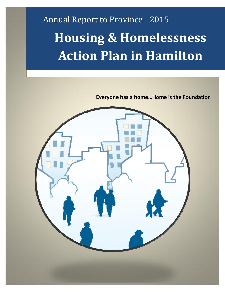# Annual Report to Province - 2015 **Housing & Homelessness Action Plan in Hamilton**

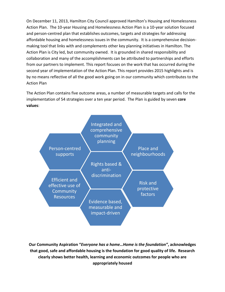On December 11, 2013, Hamilton City Council approved Hamilton's Housing and Homelessness Action Plan. The 10-year Housing and Homelessness Action Plan is a 10-year solution focused and person-centred plan that establishes outcomes, targets and strategies for addressing affordable housing and homelessness issues in the community. It is a comprehensive decisionmaking tool that links with and complements other key planning initiatives in Hamilton. The Action Plan is City led, but community owned. It is grounded in shared responsibility and collaboration and many of the accomplishments can be attributed to partnerships and efforts from our partners to implement. This report focuses on the work that has occurred during the second year of implementation of the Action Plan. This report provides 2015 highlights and is by no means reflective of all the good work going on in our community which contributes to the Action Plan

The Action Plan contains five outcome areas, a number of measurable targets and calls for the implementation of 54 strategies over a ten year period. The Plan is guided by seven **core values**:



**Our Community Aspiration "***Everyone has a home…Home is the foundation"***, acknowledges that good, safe and affordable housing is the foundation for good quality of life. Research clearly shows better health, learning and economic outcomes for people who are appropriately housed**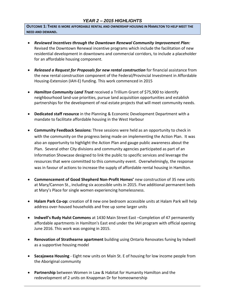### *YEAR 2 – 2015 HIGHLIGHTS*

**OUTCOME 1: THERE IS MORE AFFORDABLE RENTAL AND OWNERSHIP HOUSING IN HAMILTON TO HELP MEET THE NEED AND DEMAND.**

- *Reviewed Incentives through the Downtown Renewal Community Improvement Plan:* Revised the Downtown Renewal incentive programs which include the facilitation of new residential development in downtowns and commercial corridors, to include a placeholder for an affordable housing component.
- *Released a Request for Proposals for new rental construction* for financial assistance from the new rental construction component of the Federal/Provincial Investment in Affordable Housing-Extension (IAH-E) funding. This work commenced in 2015
- *Hamilton Community Land Trust* received a Trillium Grant of \$75,900 to identify neighbourhood land-use priorities, pursue land acquisition opportunities and establish partnerships for the development of real estate projects that will meet community needs.
- **Dedicated staff resource** in the Planning & Economic Development Department with a mandate to facilitate affordable housing in the West Harbour
- **Community Feedback Sessions:** Three sessions were held as an opportunity to check in with the community on the progress being made on implementing the Action Plan. It was also an opportunity to highlight the Action Plan and gauge public awareness about the Plan. Several other City divisions and community agencies participated as part of an Information Showcase designed to link the public to specific services and leverage the resources that were committed to this community event. Overwhelmingly, the response was in favour of actions to increase the supply of affordable rental housing in Hamilton.
- **Commencement of Good Shepherd Non-Profit Homes'** new construction of 35 new units at Mary/Cannon St., including six accessible units in 2015. Five additional permanent beds at Mary's Place for single women experiencing homelessness.
- **Halam Park Co-op:** creation of 8 new one bedroom accessible units at Halam Park will help address over-housed households and free up some larger units
- **Indwell's Rudy Hulst Commons** at 1430 Main Street East –Completion of 47 permanently affordable apartments in Hamilton's East end under the IAH program with official opening June 2016. This work was ongoing in 2015.
- **Renovation of Strathearne apartment** building using Ontario Renovates funing by Indwell as a supportive housing model
- **Sacajawea Housing** Eight new units on Main St. E of housing for low income people from the Aboriginal community
- **Partnership** between Women in Law & Habitat for Humanity Hamilton and the redevelopment of 2 units on Knappman Dr for homeownership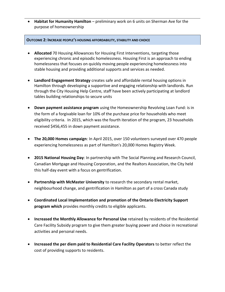**Habitat for Humanity Hamilton** – preliminary work on 6 units on Sherman Ave for the purpose of homeownership

#### **OUTCOME 2: INCREASE PEOPLE'S HOUSING AFFORDABILITY, STABILITY AND CHOICE**

- **Allocated** 70 Housing Allowances for Housing First Interventions, targeting those experiencing chronic and episodic homelessness. Housing First is an approach to ending homelessness that focuses on quickly moving people experiencing homelessness into stable housing and providing additional supports and services as needed.
- **Landlord Engagement Strategy** creates safe and affordable rental housing options in Hamilton through developing a supportive and engaging relationship with landlords. Run through the City Housing Help Centre, staff have been actively participating at landlord tables building relationships to secure units
- **Down payment assistance program** using the Homeownership Revolving Loan Fund: is in the form of a forgivable loan for 10% of the purchase price for households who meet eligibility criteria. In 2015, which was the fourth iteration of the program, 23 households received \$456,455 in down payment assistance.
- **The 20,000 Homes campaign**: In April 2015, over 150 volunteers surveyed over 470 people experiencing homelessness as part of Hamilton's 20,000 Homes Registry Week.
- **2015 National Housing Day**: In partnership with The Social Planning and Research Council, Canadian Mortgage and Housing Corporation, and the Realtors Association, the City held this half-day event with a focus on gentrification.
- **Partnership with McMaster University** to research the secondary rental market, neighbourhood change, and gentrification in Hamilton as part of a cross Canada study
- **Coordinated Local Implementation and promotion of the Ontario Electricity Support program which** provides monthly credits to eligible applicants.
- **Increased the Monthly Allowance for Personal Use** retained by residents of the Residential Care Facility Subsidy program to give them greater buying power and choice in recreational activities and personal needs.
- **Increased the per diem paid to Residential Care Facility Operators** to better reflect the cost of providing supports to residents.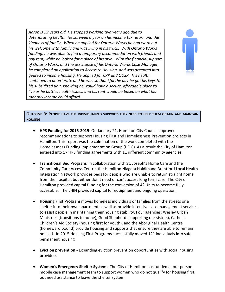*Aaron is 59 years old. He stopped working two years ago due to deteriorating health. He survived a year on his income tax return and the kindness of family. When he applied for Ontario Works he had worn out his welcome with family and was living in his truck. With Ontario Works funding, he was able to find a temporary accommodation with friends and pay rent, while he looked for a place of his own. With the financial support of Ontario Works and the assistance of his Ontario Works Case Manager, he completed an application to Access to Housing, and was accepted into geared to income housing. He applied for CPP and ODSP. His health continued to deteriorate and he was so thankful the day he got his keys to his subsidized unit, knowing he would have a secure, affordable place to live as he battles health issues, and his rent would be based on what his monthly income could afford.*



#### **OUTCOME 3: PEOPLE HAVE THE INDIVIDUALIZED SUPPORTS THEY NEED TO HELP THEM OBTAIN AND MAINTAIN HOUSING**

- **HPS Funding for 2015-2019**: On January 21, Hamilton City Council approved recommendations to support Housing First and Homelessness Prevention projects in Hamilton. This report was the culmination of the work completed with the Homelessness Funding Implementation Group (HFIG). As a result the City of Hamilton entered into 17 HPS funding agreements with 11 different community agencies.
- **Transitional Bed Program**: In collaboration with St. Joseph's Home Care and the Community Care Access Centre, the Hamilton Niagara Haldimand Brantford Local Health Integration Network provides beds for people who are unable to return straight home from the hospital, but either don't need or can't access long term care. The City of Hamilton provided capital funding for the conversion of 4? Units to become fully accessible. The LHIN provided capital for equipment and ongoing operation.
- **Housing First Program** moves homeless individuals or families from the streets or a shelter into their own apartment as well as provide intensive case management services to assist people in maintaining their housing stability. Four agencies; Wesley Urban Ministries (transitions to home), Good Shepherd (supporting our sisters), Catholic Children's Aid Society (housing first for youth), and the Aboriginal Health Centre (homeward bound) provide housing and supports that ensure they are able to remain housed. In 2015 Housing First Programs successfully moved 121 individuals into safe permanent housing
- **Eviction prevention -** Expanding eviction prevention opportunities with social housing providers
- **Women's Emergency Shelter System.** The City of Hamilton has funded a four person mobile case management team to support women who do not qualify for housing first, but need assistance to leave the shelter system.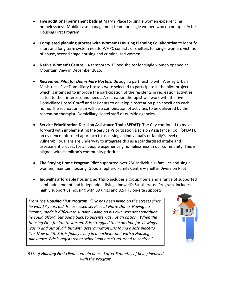- **Five additional permanent beds** at Mary's Place for single women experiencing homelessness. Mobile case management team for single women who do not qualify for Housing First Program
- **Completed planning process with Women's Housing Planning Collaborative** to identify short and long term system needs. WHPC consists of shelters for single women, victims of abuse, second stage housing and criminalized women.
- **Native Women's Centre** A temporary 15 bed shelter for single women opened at Mountain View in December 2015.
- *Recreation Pilot for Domiciliary Hostels, thr*ough a partnership with Wesley Urban Ministries. Five Domiciliary Hostels were selected to participate in the pilot project which is intended to improve the participation of the residents in recreation activities suited to their interests and needs. A recreation therapist will work with the five Domiciliary Hostels' staff and residents to develop a recreation plan specific to each home. The recreation plan will be a combination of activities to be delivered by the recreation therapist, Domiciliary Hostel staff or outside agencies.
- **Service Prioritization Decision Assistance Tool (SPDAT)**: The City continued to move forward with implementing the Service Prioritization Decision Assistance Tool (SPDAT), an evidence-informed approach to assessing an individual's or family's level of vulnerability. Plans are underway to integrate this as a standardized intake and assessment process for all people experiencing homelessness in our community. This is aligned with Hamilton's community priorities.
- **The Staying Home Program Pilot** supported over 250 individuals (families and single women) maintain housing. Good Shepherd Family Centre – Shelter Diversion Pilot
- **Indwell's affordable housing portfolio** includes a group home and a range of supported semi-independent and independent living. Indwell's Stratherarne Program includes highly supportive housing with 39 units and 8.5 FTE on-site supports

*From The Housing First Program: "Eric has been living on the streets since he was 17 years old. He accessed services at Notre Dame. Having no income, made it difficult to survive. Living on his own was not something he could afford, but going back to parents was not an option. When the Housing First for Youth started, Eric struggled to be on time for viewings, was in and out of jail, but with determination Eric found a safe place to live. Now at 19, Eric is finally living in a bachelor unit with a Housing Allowance. Eric is registered at school and hasn't returned to shelter."*



*93% of Housing First clients remain housed after 6 months of being involved with the program*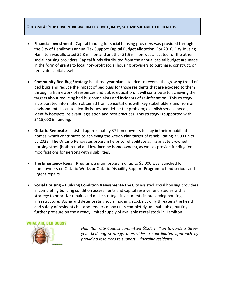#### **OUTCOME 4: PEOPLE LIVE IN HOUSING THAT IS GOOD QUALITY, SAFE AND SUITABLE TO THEIR NEEDS**

- **Financial Investment** Capital funding for social housing providers was provided through the City of Hamilton's annual Tax Support Capital Budget allocation. For 2016, CityHousing Hamilton was allocated \$2.3 million and another \$1.5 million was allocated for the other social housing providers. Capital funds distributed from the annual capital budget are made in the form of grants to local non-profit social housing providers to purchase, construct, or renovate capital assets.
- **Community Bed Bug Strategy** is a three-year plan intended to reverse the growing trend of bed bugs and reduce the impact of bed bugs for those residents that are exposed to them through a framework of resources and public education. It will contribute to achieving the targets about reducing bed bug complaints and incidents of re-infestation. This strategy incorporated information obtained from consultations with key stakeholders and from an environmental scan to identify issues and define the problem; establish service needs, identify hotspots, relevant legislation and best practices. This strategy is supported with \$415,000 in funding.
- **Ontario Renovates** assisted approximately 37 homeowners to stay in their rehabilitated homes, which contributes to achieving the Action Plan target of rehabilitating 3,500 units by 2023. The Ontario Renovates program helps to rehabilitate aging privately-owned housing stock (both rental and low-income homeowners), as well as provide funding for modifications for persons with disabilities.
- **The Emergency Repair Program**: a grant program of up to \$5,000 was launched for homeowners on Ontario Works or Ontario Disability Support Program to fund serious and urgent repairs
- **Social Housing – Building Condition Assessments-**The City assisted social housing providers in completing building condition assessments and capital reserve fund studies with a strategy to prioritize repairs and make strategic investments in preserving housing infrastructure. Aging and deteriorating social housing stock not only threatens the health and safety of residents but also renders many units completely uninhabitable, putting further pressure on the already limited supply of available rental stock in Hamilton.

#### **WHAT ARE BED BUGS?**



*Hamilton City Council committed \$1.06 million towards a threeyear bed bug strategy. It provides a coordinated approach by providing resources to support vulnerable residents.*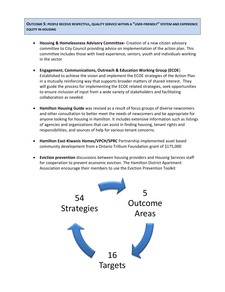**OUTCOME 5: PEOPLE RECEIVE RESPECTFUL, QUALITY SERVICE WITHIN A "USER-FRIENDLY" SYSTEM AND EXPERIENCE EQUITY IN HOUSING**

- **Housing & Homelessness Advisory Committee-** Creation of a new citizen advisory committee to City Council providing advice on implementation of the action plan. This committee includes those with lived experience, seniors, youth and individuals working in the sector
- **Engagement, Communications, Outreach & Education Working Group (ECOE**) Established to achieve the vision and implement the ECOE strategies of the Action Plan in a mutually reinforcing way that supports broader matters of shared interest. They will guide the process for implementing the ECOE related strategies, seek opportunities to ensure inclusion of input from a wide variety of stakeholders and facilitating collaboration as needed.
- **Hamilton Housing Guide** was revised as a result of focus groups of diverse newcomers and other consultation to better meet the needs of newcomers and be appropriate for anyone looking for housing in Hamilton. It includes extensive information such as listings of agencies and organizations that can assist in finding housing, tenant rights and responsibilities, and sources of help for various tenant concerns.
- **Hamilton East-Kiwanis Homes/VPCH/SPRC** Partnership implemented asset based community development from a Ontario Trillium Foundation grant of \$175,000
- **Eviction prevention** discussions between housing providers and Housing Services staff for cooperation to prevent economic eviction. The Hamilton District Apartment Association encourage their members to use the Eviction Prevention Toolkit

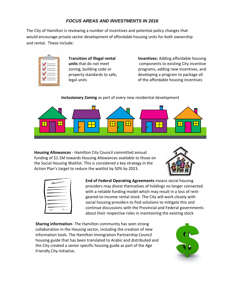## *FOCUS AREAS AND INVESTMENTS IN 2016*

The City of Hamilton is reviewing a number of incentives and potential policy changes that would encourage private sector development of affordable housing units for both ownership and rental. These include:



**Transition of illegal rental units** that do not meet zoning, building code or property standards to safe, legal units

**Incentives:** Adding affordable housing components to existing City incentive programs, adding new incentives, and developing a program to package all of the affordable housing incentives

**Inclusionary Zoning** as part of every new residential development



**Housing Allowances** *-* Hamilton City Council committed annual funding of \$1.1M towards Housing Allowances available to those on the Social Housing Waitlist. This is considered a key strategy in the Action Plan's target to reduce the waitlist by 50% by 2023.



| $\sim$       |  |
|--------------|--|
|              |  |
|              |  |
| LL<br>ıh<br> |  |

**End of Federal Operating Agreements** means *s*ocial housing providers may divest themselves of holdings no longer connected with a reliable funding model which may result in a loss of rentgeared-to-income rental stock. The City will work closely with social housing providers to find solutions to mitigate this and continue discussions with the Provincial and Federal governments about their respective roles in maintaining the existing stock

**Sharing information**- The Hamilton community has seen strong collaboration in the Housing sector, including the creation of new information tools. The Hamilton Immigration Partnership Council housing guide that has been translated to Arabic and distributed and the City created a senior specific housing guide as part of the Age Friendly City initiative.